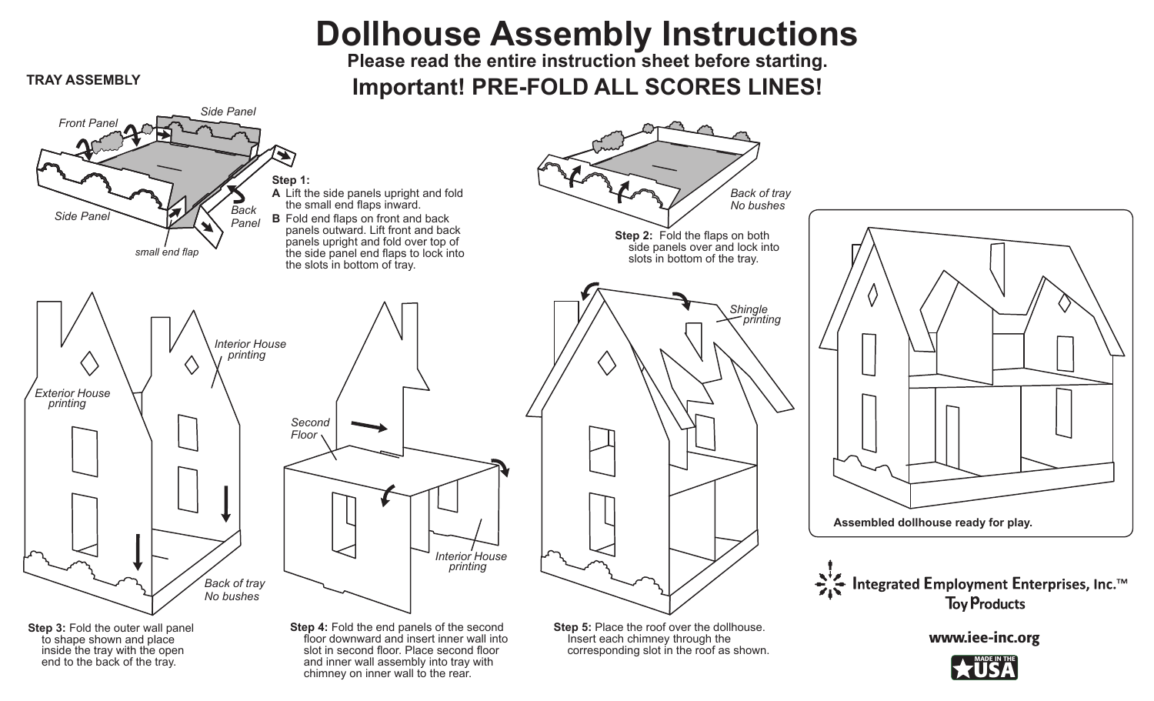## **Dollhouse Assembly Instructions**

**Please read the entire instruction sheet before starting. Important! PRE-FOLD ALL SCORES LINES! TRAY ASSEMBLY**

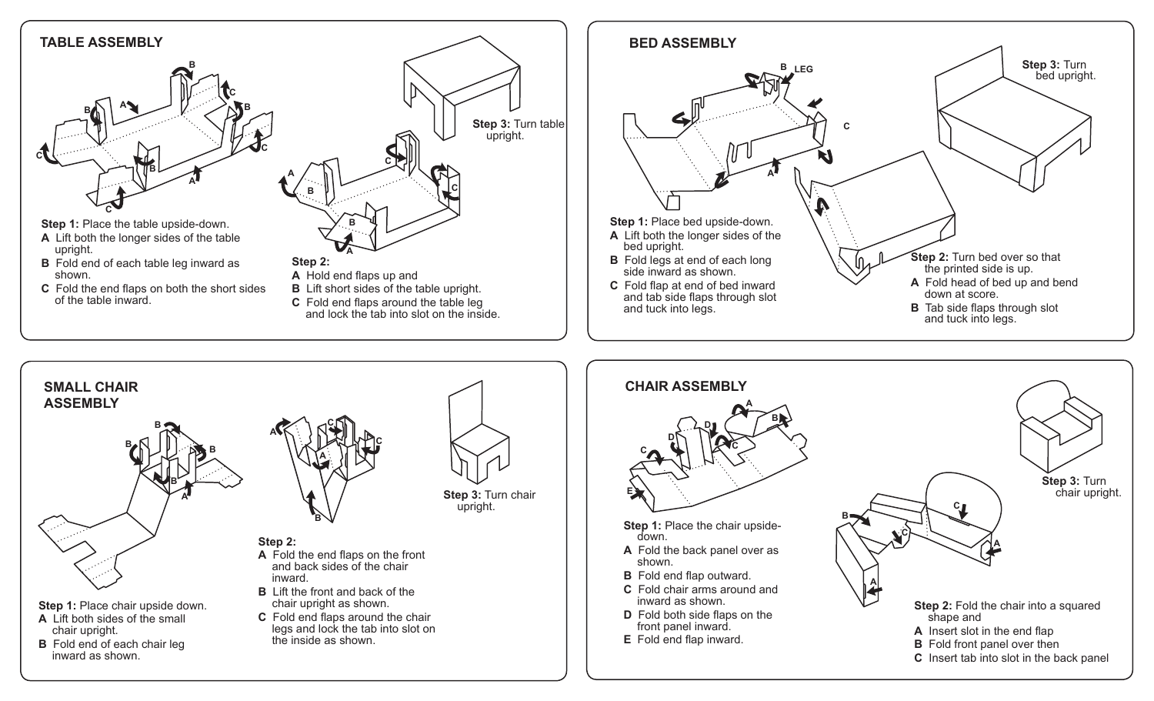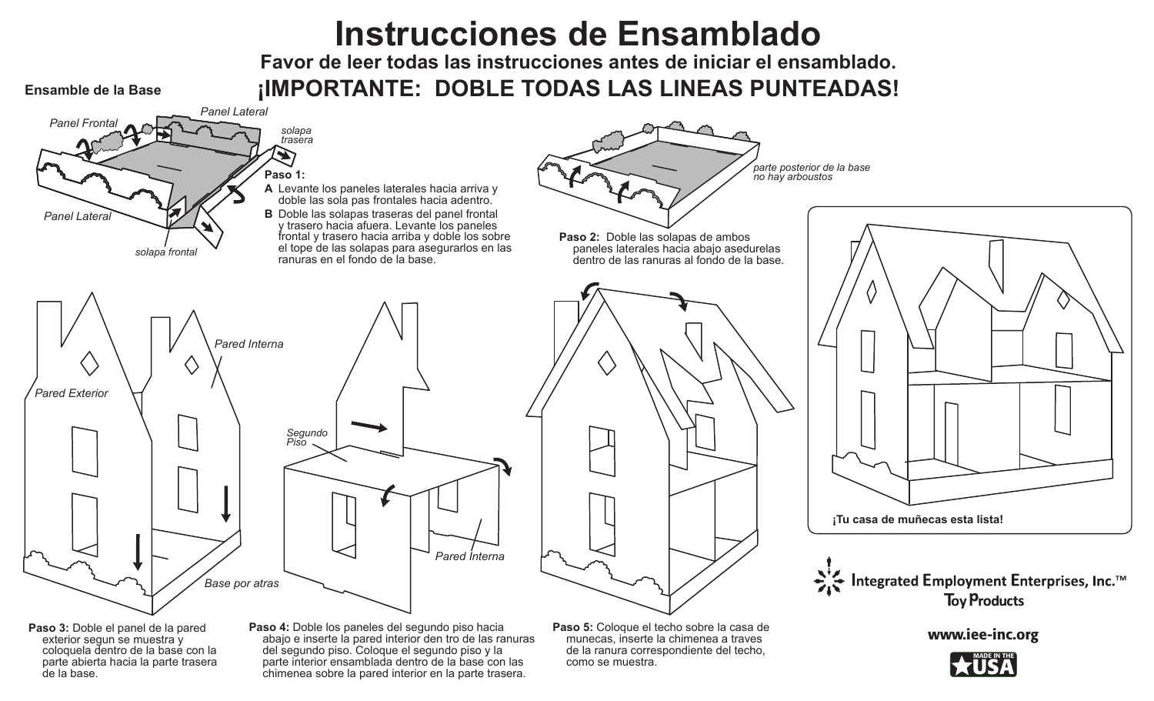## **Instrucciones de Ensamblado**

**Favor de leer todas las instrucciones antes de iniciar el ensamblado. Ensamble de la Base ¡IMPORTANTE: DOBLE TODAS LAS LINEAS PUNTEADAS!**



como se muestra.

chimenea sobre la pared interior en la parte trasera.

parte abierta hacia la parte trasera

de la base.

MADE IN THE **USA**